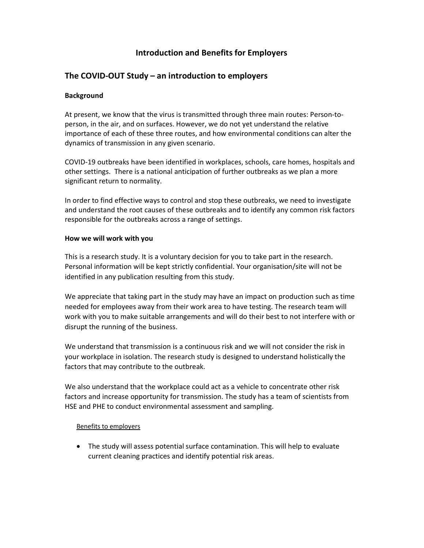## Introduction and Benefits for Employers

## The COVID-OUT Study – an introduction to employers

#### **Background**

At present, we know that the virus is transmitted through three main routes: Person-toperson, in the air, and on surfaces. However, we do not yet understand the relative importance of each of these three routes, and how environmental conditions can alter the dynamics of transmission in any given scenario.

COVID-19 outbreaks have been identified in workplaces, schools, care homes, hospitals and other settings. There is a national anticipation of further outbreaks as we plan a more significant return to normality.

In order to find effective ways to control and stop these outbreaks, we need to investigate and understand the root causes of these outbreaks and to identify any common risk factors responsible for the outbreaks across a range of settings.

#### How we will work with you

This is a research study. It is a voluntary decision for you to take part in the research. Personal information will be kept strictly confidential. Your organisation/site will not be identified in any publication resulting from this study.

We appreciate that taking part in the study may have an impact on production such as time needed for employees away from their work area to have testing. The research team will work with you to make suitable arrangements and will do their best to not interfere with or disrupt the running of the business.

We understand that transmission is a continuous risk and we will not consider the risk in your workplace in isolation. The research study is designed to understand holistically the factors that may contribute to the outbreak.

We also understand that the workplace could act as a vehicle to concentrate other risk factors and increase opportunity for transmission. The study has a team of scientists from HSE and PHE to conduct environmental assessment and sampling.

#### Benefits to employers

 The study will assess potential surface contamination. This will help to evaluate current cleaning practices and identify potential risk areas.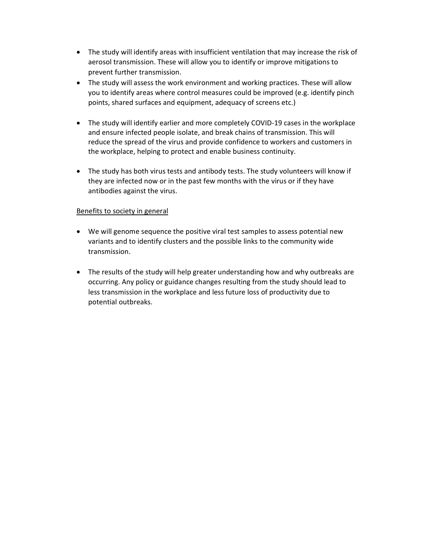- The study will identify areas with insufficient ventilation that may increase the risk of aerosol transmission. These will allow you to identify or improve mitigations to prevent further transmission.
- The study will assess the work environment and working practices. These will allow you to identify areas where control measures could be improved (e.g. identify pinch points, shared surfaces and equipment, adequacy of screens etc.)
- The study will identify earlier and more completely COVID-19 cases in the workplace and ensure infected people isolate, and break chains of transmission. This will reduce the spread of the virus and provide confidence to workers and customers in the workplace, helping to protect and enable business continuity.
- The study has both virus tests and antibody tests. The study volunteers will know if they are infected now or in the past few months with the virus or if they have antibodies against the virus.

### Benefits to society in general

- We will genome sequence the positive viral test samples to assess potential new variants and to identify clusters and the possible links to the community wide transmission.
- The results of the study will help greater understanding how and why outbreaks are occurring. Any policy or guidance changes resulting from the study should lead to less transmission in the workplace and less future loss of productivity due to potential outbreaks.